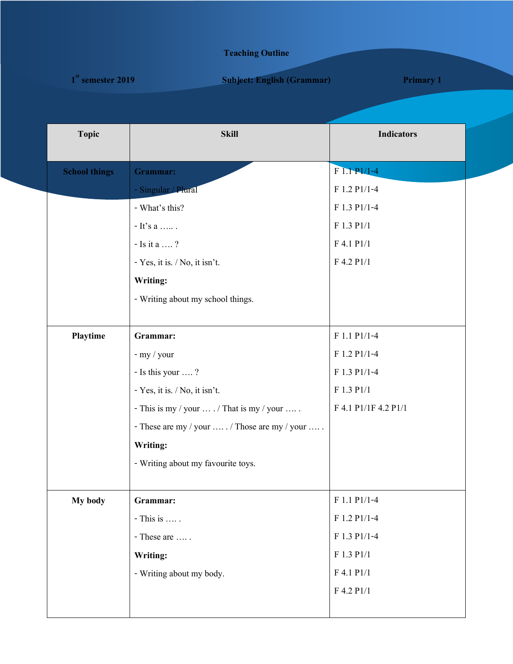## **Teaching Outline**

| $1st$ semester 2019 | <b>Subject: English (Grammar)</b> | <b>Primary 1</b> |  |
|---------------------|-----------------------------------|------------------|--|
|                     |                                   |                  |  |

| <b>Topic</b>         | <b>Skill</b>                                              | <b>Indicators</b>    |
|----------------------|-----------------------------------------------------------|----------------------|
| <b>School things</b> | Grammar:                                                  | $F1.1 P1/1-4$        |
|                      | - Singular / Plural                                       | F 1.2 P1/1-4         |
|                      | - What's this?                                            | F 1.3 P1/1-4         |
|                      | - It's a $\dots \dots$ .                                  | F 1.3 P1/1           |
|                      | - Is it a $\,\dots\, ?$                                   | F 4.1 P1/1           |
|                      | - Yes, it is. / No, it isn't.                             | F 4.2 P1/1           |
|                      | Writing:                                                  |                      |
|                      | - Writing about my school things.                         |                      |
|                      |                                                           |                      |
| Playtime             | Grammar:                                                  | F 1.1 P1/1-4         |
|                      | - my / your                                               | F 1.2 P1/1-4         |
|                      | - Is this your ?                                          | F 1.3 P1/1-4         |
|                      | - Yes, it is. / No, it isn't.                             | F 1.3 P1/1           |
|                      | - This is my / your $\dots$ / That is my / your $\dots$ . | F 4.1 P1/1F 4.2 P1/1 |
|                      | - These are my / your  / Those are my / your              |                      |
|                      | Writing:                                                  |                      |
|                      | - Writing about my favourite toys.                        |                      |
|                      |                                                           |                      |
| My body              | Grammar:                                                  | F 1.1 P1/1-4         |
|                      | - This is                                                 | F 1.2 P1/1-4         |
|                      | - These are                                               | F 1.3 P1/1-4         |
|                      | Writing:                                                  | F 1.3 P1/1           |
|                      | - Writing about my body.                                  | F 4.1 P1/1           |
|                      |                                                           | F 4.2 P1/1           |
|                      |                                                           |                      |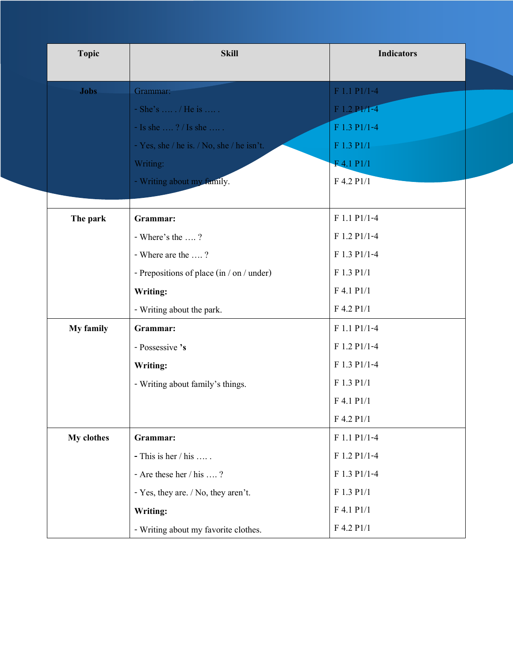| <b>Topic</b> | <b>Skill</b>                              | <b>Indicators</b> |  |
|--------------|-------------------------------------------|-------------------|--|
| <b>Jobs</b>  | Grammar:                                  | F 1.1 P1/1-4      |  |
|              | $-She's$ / He is                          | F 1.2 PI/1-4      |  |
|              | - Is she ? / Is she                       | F 1.3 P1/1-4      |  |
|              | - Yes, she / he is. / No, she / he isn't. | F 1.3 P1/1        |  |
|              | Writing:                                  | F 4.1 P1/1        |  |
|              | - Writing about my family.                | F 4.2 P1/1        |  |
|              |                                           |                   |  |
| The park     | Grammar:                                  | F 1.1 P1/1-4      |  |
|              | - Where's the ?                           | F 1.2 P1/1-4      |  |
|              | - Where are the ?                         | F 1.3 P1/1-4      |  |
|              | - Prepositions of place (in / on / under) | F 1.3 P1/1        |  |
|              | Writing:                                  | F 4.1 P1/1        |  |
|              | - Writing about the park.                 | F 4.2 P1/1        |  |
| My family    | Grammar:                                  | F 1.1 P1/1-4      |  |
|              | - Possessive 's                           | F 1.2 P1/1-4      |  |
|              | Writing:                                  | F 1.3 P1/1-4      |  |
|              | - Writing about family's things.          | F 1.3 P1/1        |  |
|              |                                           | F 4.1 P1/1        |  |
|              |                                           | $F$ 4.2 $P1/1$    |  |
| My clothes   | Grammar:                                  | F 1.1 P1/1-4      |  |
|              | - This is her $/$ his                     | $F 1.2 P1/1-4$    |  |
|              | - Are these her / his ?                   | F 1.3 P1/1-4      |  |
|              | - Yes, they are. / No, they aren't.       | F 1.3 P1/1        |  |
|              | Writing:                                  | $F$ 4.1 $P1/1$    |  |
|              | - Writing about my favorite clothes.      | F 4.2 P1/1        |  |